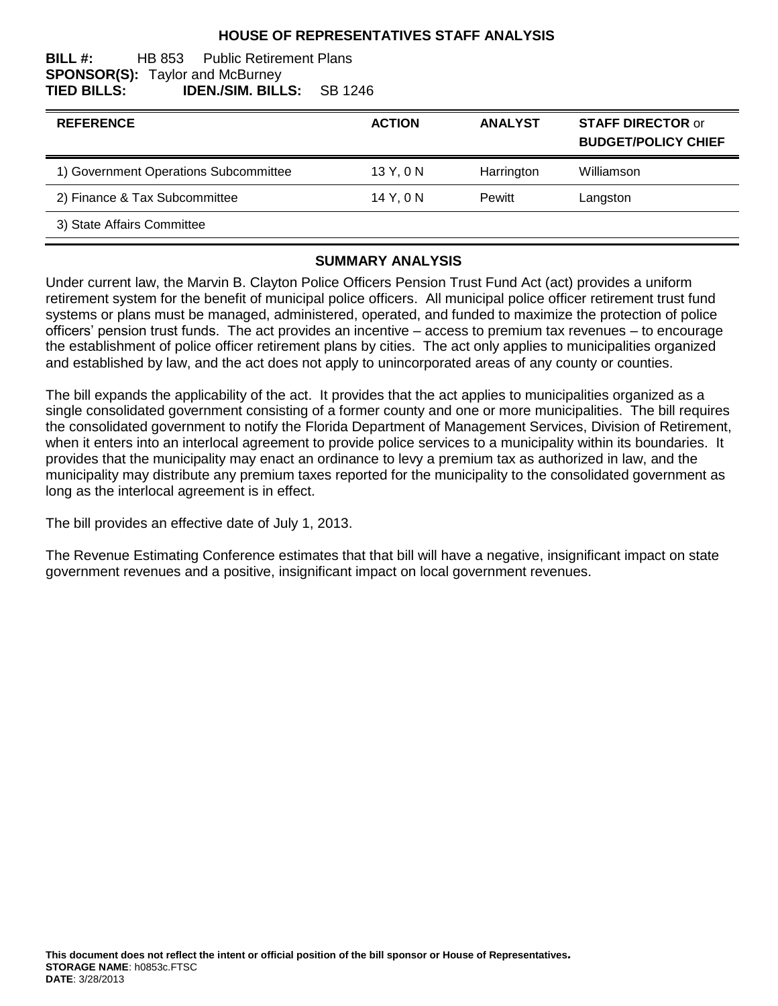### **HOUSE OF REPRESENTATIVES STAFF ANALYSIS**

#### **BILL #:** HB 853 Public Retirement Plans **SPONSOR(S):** Taylor and McBurney **TIED BILLS: IDEN./SIM. BILLS:** SB 1246

| <b>REFERENCE</b>                      | <b>ACTION</b> | <b>ANALYST</b> | <b>STAFF DIRECTOR or</b><br><b>BUDGET/POLICY CHIEF</b> |
|---------------------------------------|---------------|----------------|--------------------------------------------------------|
| 1) Government Operations Subcommittee | 13 Y, 0 N     | Harrington     | Williamson                                             |
| 2) Finance & Tax Subcommittee         | 14 Y, 0 N     | <b>Pewitt</b>  | Langston                                               |
| 3) State Affairs Committee            |               |                |                                                        |

#### **SUMMARY ANALYSIS**

Under current law, the Marvin B. Clayton Police Officers Pension Trust Fund Act (act) provides a uniform retirement system for the benefit of municipal police officers. All municipal police officer retirement trust fund systems or plans must be managed, administered, operated, and funded to maximize the protection of police officers' pension trust funds. The act provides an incentive – access to premium tax revenues – to encourage the establishment of police officer retirement plans by cities. The act only applies to municipalities organized and established by law, and the act does not apply to unincorporated areas of any county or counties.

The bill expands the applicability of the act. It provides that the act applies to municipalities organized as a single consolidated government consisting of a former county and one or more municipalities. The bill requires the consolidated government to notify the Florida Department of Management Services, Division of Retirement, when it enters into an interlocal agreement to provide police services to a municipality within its boundaries. It provides that the municipality may enact an ordinance to levy a premium tax as authorized in law, and the municipality may distribute any premium taxes reported for the municipality to the consolidated government as long as the interlocal agreement is in effect.

The bill provides an effective date of July 1, 2013.

The Revenue Estimating Conference estimates that that bill will have a negative, insignificant impact on state government revenues and a positive, insignificant impact on local government revenues.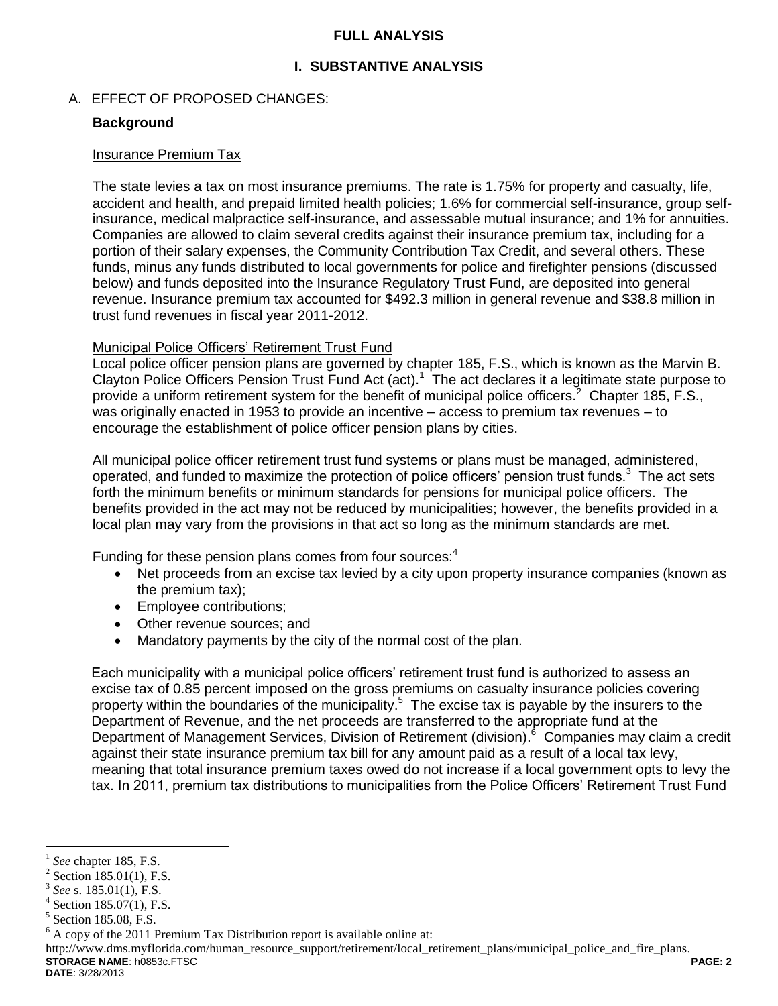### **FULL ANALYSIS**

## **I. SUBSTANTIVE ANALYSIS**

### A. EFFECT OF PROPOSED CHANGES:

### **Background**

#### Insurance Premium Tax

The state levies a tax on most insurance premiums. The rate is 1.75% for property and casualty, life, accident and health, and prepaid limited health policies; 1.6% for commercial self-insurance, group selfinsurance, medical malpractice self-insurance, and assessable mutual insurance; and 1% for annuities. Companies are allowed to claim several credits against their insurance premium tax, including for a portion of their salary expenses, the Community Contribution Tax Credit, and several others. These funds, minus any funds distributed to local governments for police and firefighter pensions (discussed below) and funds deposited into the Insurance Regulatory Trust Fund, are deposited into general revenue. Insurance premium tax accounted for \$492.3 million in general revenue and \$38.8 million in trust fund revenues in fiscal year 2011-2012.

### Municipal Police Officers' Retirement Trust Fund

Local police officer pension plans are governed by chapter 185, F.S., which is known as the Marvin B. Clayton Police Officers Pension Trust Fund Act (act).<sup>1</sup> The act declares it a legitimate state purpose to provide a uniform retirement system for the benefit of municipal police officers.<sup>2</sup> Chapter 185, F.S., was originally enacted in 1953 to provide an incentive – access to premium tax revenues – to encourage the establishment of police officer pension plans by cities.

All municipal police officer retirement trust fund systems or plans must be managed, administered, operated, and funded to maximize the protection of police officers' pension trust funds.<sup>3</sup> The act sets forth the minimum benefits or minimum standards for pensions for municipal police officers. The benefits provided in the act may not be reduced by municipalities; however, the benefits provided in a local plan may vary from the provisions in that act so long as the minimum standards are met.

Funding for these pension plans comes from four sources:<sup>4</sup>

- Net proceeds from an excise tax levied by a city upon property insurance companies (known as the premium tax);
- Employee contributions;
- Other revenue sources; and
- Mandatory payments by the city of the normal cost of the plan.

Each municipality with a municipal police officers' retirement trust fund is authorized to assess an excise tax of 0.85 percent imposed on the gross premiums on casualty insurance policies covering property within the boundaries of the municipality.<sup>5</sup> The excise tax is payable by the insurers to the Department of Revenue, and the net proceeds are transferred to the appropriate fund at the Department of Management Services, Division of Retirement (division).<sup>6</sup> Companies may claim a credit against their state insurance premium tax bill for any amount paid as a result of a local tax levy, meaning that total insurance premium taxes owed do not increase if a local government opts to levy the tax. In 2011, premium tax distributions to municipalities from the Police Officers' Retirement Trust Fund

**STORAGE NAME**: h0853c.FTSC **PAGE: 2** http://www.dms.myflorida.com/human\_resource\_support/retirement/local\_retirement\_plans/municipal\_police\_and\_fire\_plans.

**DATE**: 3/28/2013

 $\overline{a}$ 1 *See* chapter 185, F.S.

 $2$  Section 185.01(1), F.S.

<sup>3</sup> *See* s. 185.01(1), F.S.

 $4$  Section 185.07(1), F.S.

<sup>5</sup> Section 185.08, F.S.

 $6$  A copy of the 2011 Premium Tax Distribution report is available online at: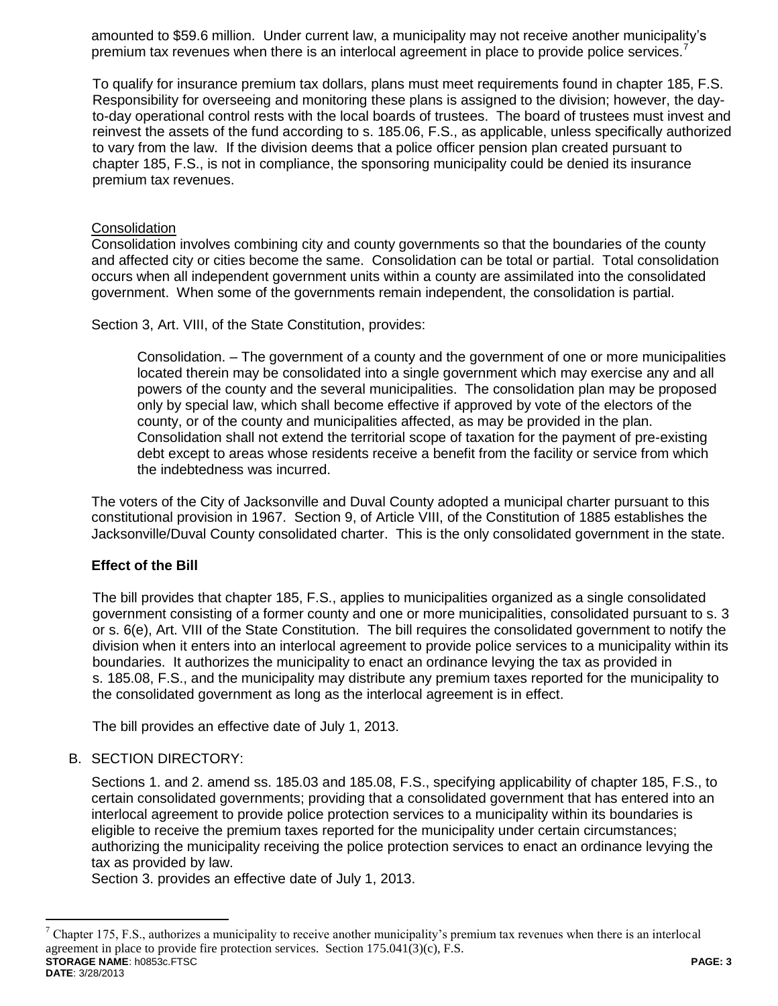amounted to \$59.6 million. Under current law, a municipality may not receive another municipality's premium tax revenues when there is an interlocal agreement in place to provide police services.<sup>7</sup>

To qualify for insurance premium tax dollars, plans must meet requirements found in chapter 185, F.S. Responsibility for overseeing and monitoring these plans is assigned to the division; however, the dayto-day operational control rests with the local boards of trustees. The board of trustees must invest and reinvest the assets of the fund according to s. 185.06, F.S., as applicable, unless specifically authorized to vary from the law. If the division deems that a police officer pension plan created pursuant to chapter 185, F.S., is not in compliance, the sponsoring municipality could be denied its insurance premium tax revenues.

### **Consolidation**

Consolidation involves combining city and county governments so that the boundaries of the county and affected city or cities become the same. Consolidation can be total or partial. Total consolidation occurs when all independent government units within a county are assimilated into the consolidated government. When some of the governments remain independent, the consolidation is partial.

Section 3, Art. VIII, of the State Constitution, provides:

Consolidation. – The government of a county and the government of one or more municipalities located therein may be consolidated into a single government which may exercise any and all powers of the county and the several municipalities. The consolidation plan may be proposed only by special law, which shall become effective if approved by vote of the electors of the county, or of the county and municipalities affected, as may be provided in the plan. Consolidation shall not extend the territorial scope of taxation for the payment of pre-existing debt except to areas whose residents receive a benefit from the facility or service from which the indebtedness was incurred.

The voters of the City of Jacksonville and Duval County adopted a municipal charter pursuant to this constitutional provision in 1967. Section 9, of Article VIII, of the Constitution of 1885 establishes the Jacksonville/Duval County consolidated charter. This is the only consolidated government in the state.

### **Effect of the Bill**

The bill provides that chapter 185, F.S., applies to municipalities organized as a single consolidated government consisting of a former county and one or more municipalities, consolidated pursuant to s. 3 or s. 6(e), Art. VIII of the State Constitution. The bill requires the consolidated government to notify the division when it enters into an interlocal agreement to provide police services to a municipality within its boundaries. It authorizes the municipality to enact an ordinance levying the tax as provided in s. 185.08, F.S., and the municipality may distribute any premium taxes reported for the municipality to the consolidated government as long as the interlocal agreement is in effect.

The bill provides an effective date of July 1, 2013.

### B. SECTION DIRECTORY:

 $\overline{a}$ 

Sections 1. and 2. amend ss. 185.03 and 185.08, F.S., specifying applicability of chapter 185, F.S., to certain consolidated governments; providing that a consolidated government that has entered into an interlocal agreement to provide police protection services to a municipality within its boundaries is eligible to receive the premium taxes reported for the municipality under certain circumstances; authorizing the municipality receiving the police protection services to enact an ordinance levying the tax as provided by law.

Section 3. provides an effective date of July 1, 2013.

**STORAGE NAME**: h0853c.FTSC **PAGE: 3 DATE**: 3/28/2013 <sup>7</sup> Chapter 175, F.S., authorizes a municipality to receive another municipality's premium tax revenues when there is an interlocal agreement in place to provide fire protection services. Section  $175.041(3)(c)$ , F.S.